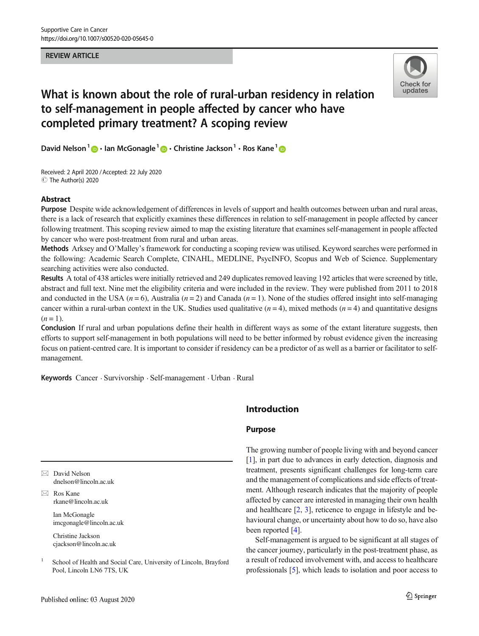### REVIEW ARTICLE



# What is known about the role of rural-urban residency in relation to self-management in people affected by cancer who have completed primary treatment? A scoping review

David Nelson<sup>1</sup>  $\bigcirc$  · Ian McGonagle<sup>1</sup>  $\bigcirc$  · Christine Jackson<sup>1</sup> · Ros Kane<sup>1</sup>  $\bigcirc$ 

Received: 2 April 2020 /Accepted: 22 July 2020  $\circledcirc$  The Author(s) 2020

## Abstract

Purpose Despite wide acknowledgement of differences in levels of support and health outcomes between urban and rural areas, there is a lack of research that explicitly examines these differences in relation to self-management in people affected by cancer following treatment. This scoping review aimed to map the existing literature that examines self-management in people affected by cancer who were post-treatment from rural and urban areas.

Methods Arksey and O'Malley's framework for conducting a scoping review was utilised. Keyword searches were performed in the following: Academic Search Complete, CINAHL, MEDLINE, PsycINFO, Scopus and Web of Science. Supplementary searching activities were also conducted.

Results A total of 438 articles were initially retrieved and 249 duplicates removed leaving 192 articles that were screened by title, abstract and full text. Nine met the eligibility criteria and were included in the review. They were published from 2011 to 2018 and conducted in the USA ( $n = 6$ ), Australia ( $n = 2$ ) and Canada ( $n = 1$ ). None of the studies offered insight into self-managing cancer within a rural-urban context in the UK. Studies used qualitative  $(n = 4)$ , mixed methods  $(n = 4)$  and quantitative designs  $(n = 1)$ .

Conclusion If rural and urban populations define their health in different ways as some of the extant literature suggests, then efforts to support self-management in both populations will need to be better informed by robust evidence given the increasing focus on patient-centred care. It is important to consider if residency can be a predictor of as well as a barrier or facilitator to selfmanagement.

Keywords Cancer . Survivorship . Self-management . Urban . Rural

# Introduction

### Purpose

[\[1](#page-9-0)], in part due to advances in early detection, diagnosis and treatment, presents significant challenges for long-term care and the management of complications and side effects of treatment. Although research indicates that the majority of people affected by cancer are interested in managing their own health and healthcare [[2,](#page-9-0) [3\]](#page-9-0), reticence to engage in lifestyle and behavioural change, or uncertainty about how to do so, have also been reported [\[4\]](#page-9-0).

The growing number of people living with and beyond cancer

Self-management is argued to be significant at all stages of the cancer journey, particularly in the post-treatment phase, as a result of reduced involvement with, and access to healthcare professionals [[5\]](#page-9-0), which leads to isolation and poor access to

 $\boxtimes$  David Nelson [dnelson@lincoln.ac.uk](mailto:dnelson@lincoln.ac.uk)

 $\boxtimes$  Ros Kane [rkane@lincoln.ac.uk](mailto:rkane@lincoln.ac.uk)

> Ian McGonagle imcgonagle@lincoln.ac.uk

Christine Jackson cjackson@lincoln.ac.uk

<sup>1</sup> School of Health and Social Care, University of Lincoln, Brayford Pool, Lincoln LN6 7TS, UK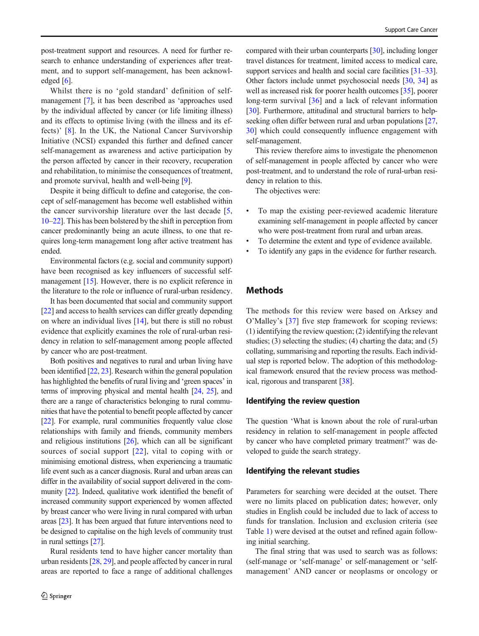post-treatment support and resources. A need for further research to enhance understanding of experiences after treatment, and to support self-management, has been acknowledged [\[6\]](#page-9-0).

Whilst there is no 'gold standard' definition of selfmanagement [\[7](#page-9-0)], it has been described as 'approaches used by the individual affected by cancer (or life limiting illness) and its effects to optimise living (with the illness and its effects)' [[8](#page-9-0)]. In the UK, the National Cancer Survivorship Initiative (NCSI) expanded this further and defined cancer self-management as awareness and active participation by the person affected by cancer in their recovery, recuperation and rehabilitation, to minimise the consequences of treatment, and promote survival, health and well-being [[9\]](#page-9-0).

Despite it being difficult to define and categorise, the concept of self-management has become well established within the cancer survivorship literature over the last decade [[5,](#page-9-0) [10](#page-9-0)–[22](#page-10-0)]. This has been bolstered by the shift in perception from cancer predominantly being an acute illness, to one that requires long-term management long after active treatment has ended.

Environmental factors (e.g. social and community support) have been recognised as key influencers of successful self-management [[15\]](#page-9-0). However, there is no explicit reference in the literature to the role or influence of rural-urban residency.

It has been documented that social and community support [\[22\]](#page-10-0) and access to health services can differ greatly depending on where an individual lives [\[14](#page-9-0)], but there is still no robust evidence that explicitly examines the role of rural-urban residency in relation to self-management among people affected by cancer who are post-treatment.

Both positives and negatives to rural and urban living have been identified [[22](#page-10-0), [23](#page-10-0)]. Research within the general population has highlighted the benefits of rural living and 'green spaces' in terms of improving physical and mental health [\[24,](#page-10-0) [25](#page-10-0)], and there are a range of characteristics belonging to rural communities that have the potential to benefit people affected by cancer [\[22\]](#page-10-0). For example, rural communities frequently value close relationships with family and friends, community members and religious institutions [\[26\]](#page-10-0), which can all be significant sources of social support [[22\]](#page-10-0), vital to coping with or minimising emotional distress, when experiencing a traumatic life event such as a cancer diagnosis. Rural and urban areas can differ in the availability of social support delivered in the community [\[22\]](#page-10-0). Indeed, qualitative work identified the benefit of increased community support experienced by women affected by breast cancer who were living in rural compared with urban areas [\[23\]](#page-10-0). It has been argued that future interventions need to be designed to capitalise on the high levels of community trust in rural settings [\[27](#page-10-0)].

Rural residents tend to have higher cancer mortality than urban residents [\[28](#page-10-0), [29](#page-10-0)], and people affected by cancer in rural areas are reported to face a range of additional challenges compared with their urban counterparts [\[30\]](#page-10-0), including longer travel distances for treatment, limited access to medical care, support services and health and social care facilities [\[31](#page-10-0)–[33\]](#page-10-0). Other factors include unmet psychosocial needs [[30,](#page-10-0) [34](#page-10-0)] as well as increased risk for poorer health outcomes [\[35\]](#page-10-0), poorer long-term survival [\[36](#page-10-0)] and a lack of relevant information [\[30](#page-10-0)]. Furthermore, attitudinal and structural barriers to help-seeking often differ between rural and urban populations [\[27,](#page-10-0) [30](#page-10-0)] which could consequently influence engagement with self-management.

This review therefore aims to investigate the phenomenon of self-management in people affected by cancer who were post-treatment, and to understand the role of rural-urban residency in relation to this.

The objectives were:

- To map the existing peer-reviewed academic literature examining self-management in people affected by cancer who were post-treatment from rural and urban areas.
- To determine the extent and type of evidence available.
- To identify any gaps in the evidence for further research.

## **Methods**

The methods for this review were based on Arksey and O'Malley's [[37](#page-10-0)] five step framework for scoping reviews: (1) identifying the review question; (2) identifying the relevant studies; (3) selecting the studies; (4) charting the data; and (5) collating, summarising and reporting the results. Each individual step is reported below. The adoption of this methodological framework ensured that the review process was methodical, rigorous and transparent [\[38\]](#page-10-0).

#### Identifying the review question

The question 'What is known about the role of rural-urban residency in relation to self-management in people affected by cancer who have completed primary treatment?' was developed to guide the search strategy.

#### Identifying the relevant studies

Parameters for searching were decided at the outset. There were no limits placed on publication dates; however, only studies in English could be included due to lack of access to funds for translation. Inclusion and exclusion criteria (see Table [1\)](#page-2-0) were devised at the outset and refined again following initial searching.

The final string that was used to search was as follows: (self-manage or 'self-manage' or self-management or 'selfmanagement' AND cancer or neoplasms or oncology or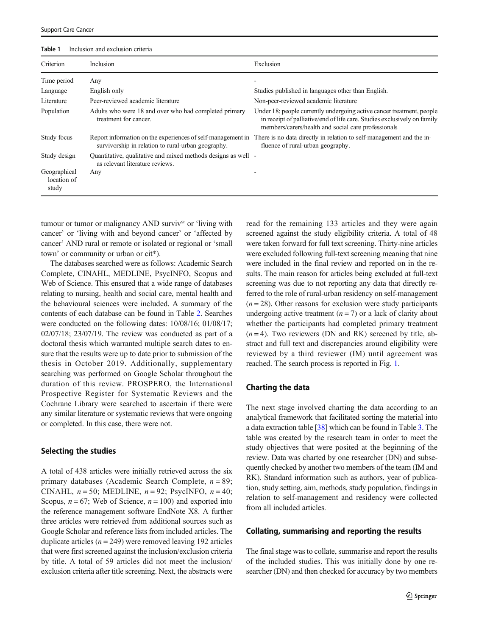<span id="page-2-0"></span>

| Table 1<br>Inclusion and exclusion criteria |  |
|---------------------------------------------|--|
|---------------------------------------------|--|

| Criterion                            | Inclusion                                                                                                         | Exclusion                                                                                                                                                                                                |
|--------------------------------------|-------------------------------------------------------------------------------------------------------------------|----------------------------------------------------------------------------------------------------------------------------------------------------------------------------------------------------------|
| Time period                          | Any                                                                                                               |                                                                                                                                                                                                          |
| Language                             | English only                                                                                                      | Studies published in languages other than English.                                                                                                                                                       |
| Literature                           | Peer-reviewed academic literature                                                                                 | Non-peer-reviewed academic literature                                                                                                                                                                    |
| Population                           | Adults who were 18 and over who had completed primary<br>treatment for cancer.                                    | Under 18; people currently undergoing active cancer treatment, people<br>in receipt of palliative/end of life care. Studies exclusively on family<br>members/carers/health and social care professionals |
| Study focus                          | Report information on the experiences of self-management in<br>survivorship in relation to rural-urban geography. | There is no data directly in relation to self-management and the in-<br>fluence of rural-urban geography.                                                                                                |
| Study design                         | Quantitative, qualitative and mixed methods designs as well -<br>as relevant literature reviews.                  |                                                                                                                                                                                                          |
| Geographical<br>location of<br>study | Any                                                                                                               |                                                                                                                                                                                                          |

tumour or tumor or malignancy AND surviv\* or 'living with cancer' or 'living with and beyond cancer' or 'affected by cancer' AND rural or remote or isolated or regional or 'small town' or community or urban or cit\*).

The databases searched were as follows: Academic Search Complete, CINAHL, MEDLINE, PsycINFO, Scopus and Web of Science. This ensured that a wide range of databases relating to nursing, health and social care, mental health and the behavioural sciences were included. A summary of the contents of each database can be found in Table [2](#page-3-0). Searches were conducted on the following dates: 10/08/16; 01/08/17; 02/07/18; 23/07/19. The review was conducted as part of a doctoral thesis which warranted multiple search dates to ensure that the results were up to date prior to submission of the thesis in October 2019. Additionally, supplementary searching was performed on Google Scholar throughout the duration of this review. PROSPERO, the International Prospective Register for Systematic Reviews and the Cochrane Library were searched to ascertain if there were any similar literature or systematic reviews that were ongoing or completed. In this case, there were not.

#### Selecting the studies

A total of 438 articles were initially retrieved across the six primary databases (Academic Search Complete,  $n = 89$ ; CINAHL,  $n = 50$ ; MEDLINE,  $n = 92$ ; PsycINFO,  $n = 40$ ; Scopus,  $n = 67$ ; Web of Science,  $n = 100$ ) and exported into the reference management software EndNote X8. A further three articles were retrieved from additional sources such as Google Scholar and reference lists from included articles. The duplicate articles ( $n = 249$ ) were removed leaving 192 articles that were first screened against the inclusion/exclusion criteria by title. A total of 59 articles did not meet the inclusion/ exclusion criteria after title screening. Next, the abstracts were read for the remaining 133 articles and they were again screened against the study eligibility criteria. A total of 48 were taken forward for full text screening. Thirty-nine articles were excluded following full-text screening meaning that nine were included in the final review and reported on in the results. The main reason for articles being excluded at full-text screening was due to not reporting any data that directly referred to the role of rural-urban residency on self-management  $(n = 28)$ . Other reasons for exclusion were study participants undergoing active treatment  $(n = 7)$  or a lack of clarity about whether the participants had completed primary treatment  $(n = 4)$ . Two reviewers (DN and RK) screened by title, abstract and full text and discrepancies around eligibility were reviewed by a third reviewer (IM) until agreement was reached. The search process is reported in Fig. [1.](#page-4-0)

#### Charting the data

The next stage involved charting the data according to an analytical framework that facilitated sorting the material into a data extraction table [[38](#page-10-0)] which can be found in Table [3.](#page-5-0) The table was created by the research team in order to meet the study objectives that were posited at the beginning of the review. Data was charted by one researcher (DN) and subsequently checked by another two members of the team (IM and RK). Standard information such as authors, year of publication, study setting, aim, methods, study population, findings in relation to self-management and residency were collected from all included articles.

#### Collating, summarising and reporting the results

The final stage was to collate, summarise and report the results of the included studies. This was initially done by one researcher (DN) and then checked for accuracy by two members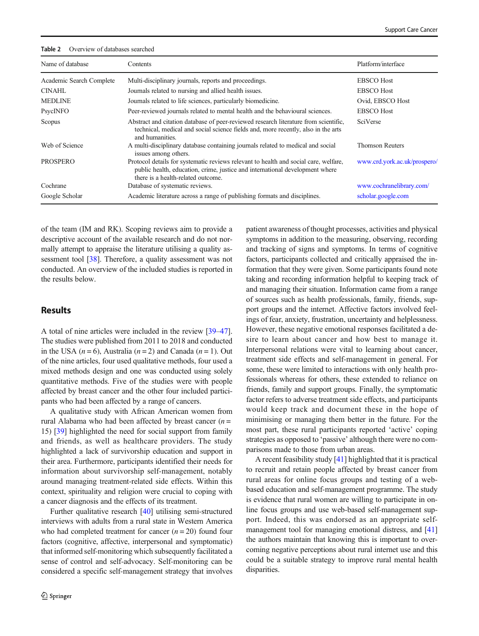#### <span id="page-3-0"></span>Table 2 Overview of databases searched

| Name of database         | Contents                                                                                                                                                                                                   | Platform/interface           |
|--------------------------|------------------------------------------------------------------------------------------------------------------------------------------------------------------------------------------------------------|------------------------------|
| Academic Search Complete | Multi-disciplinary journals, reports and proceedings.                                                                                                                                                      | <b>EBSCO</b> Host            |
| <b>CINAHL</b>            | Journals related to nursing and allied health issues.                                                                                                                                                      | <b>EBSCO</b> Host            |
| <b>MEDLINE</b>           | Journals related to life sciences, particularly biomedicine.                                                                                                                                               | Ovid, EBSCO Host             |
| PsycINFO                 | Peer-reviewed journals related to mental health and the behavioural sciences.                                                                                                                              | <b>EBSCO</b> Host            |
| Scopus                   | Abstract and citation database of peer-reviewed research literature from scientific,<br>technical, medical and social science fields and, more recently, also in the arts<br>and humanities.               | SciVerse                     |
| Web of Science           | A multi-disciplinary database containing journals related to medical and social<br>issues among others.                                                                                                    | <b>Thomson Reuters</b>       |
| <b>PROSPERO</b>          | Protocol details for systematic reviews relevant to health and social care, welfare,<br>public health, education, crime, justice and international development where<br>there is a health-related outcome. | www.crd.york.ac.uk/prospero/ |
| Cochrane                 | Database of systematic reviews.                                                                                                                                                                            | www.cochranelibrary.com/     |
| Google Scholar           | Academic literature across a range of publishing formats and disciplines.                                                                                                                                  | scholar.google.com           |

of the team (IM and RK). Scoping reviews aim to provide a descriptive account of the available research and do not normally attempt to appraise the literature utilising a quality as-sessment tool [\[38\]](#page-10-0). Therefore, a quality assessment was not conducted. An overview of the included studies is reported in the results below.

# Results

A total of nine articles were included in the review [\[39](#page-10-0)–[47\]](#page-10-0). The studies were published from 2011 to 2018 and conducted in the USA  $(n = 6)$ , Australia  $(n = 2)$  and Canada  $(n = 1)$ . Out of the nine articles, four used qualitative methods, four used a mixed methods design and one was conducted using solely quantitative methods. Five of the studies were with people affected by breast cancer and the other four included participants who had been affected by a range of cancers.

A qualitative study with African American women from rural Alabama who had been affected by breast cancer  $(n =$ 15) [\[39\]](#page-10-0) highlighted the need for social support from family and friends, as well as healthcare providers. The study highlighted a lack of survivorship education and support in their area. Furthermore, participants identified their needs for information about survivorship self-management, notably around managing treatment-related side effects. Within this context, spirituality and religion were crucial to coping with a cancer diagnosis and the effects of its treatment.

Further qualitative research [\[40](#page-10-0)] utilising semi-structured interviews with adults from a rural state in Western America who had completed treatment for cancer  $(n = 20)$  found four factors (cognitive, affective, interpersonal and symptomatic) that informed self-monitoring which subsequently facilitated a sense of control and self-advocacy. Self-monitoring can be considered a specific self-management strategy that involves patient awareness of thought processes, activities and physical symptoms in addition to the measuring, observing, recording and tracking of signs and symptoms. In terms of cognitive factors, participants collected and critically appraised the information that they were given. Some participants found note taking and recording information helpful to keeping track of and managing their situation. Information came from a range of sources such as health professionals, family, friends, support groups and the internet. Affective factors involved feelings of fear, anxiety, frustration, uncertainty and helplessness. However, these negative emotional responses facilitated a desire to learn about cancer and how best to manage it. Interpersonal relations were vital to learning about cancer, treatment side effects and self-management in general. For some, these were limited to interactions with only health professionals whereas for others, these extended to reliance on friends, family and support groups. Finally, the symptomatic factor refers to adverse treatment side effects, and participants would keep track and document these in the hope of minimising or managing them better in the future. For the most part, these rural participants reported 'active' coping strategies as opposed to 'passive' although there were no comparisons made to those from urban areas.

A recent feasibility study [\[41](#page-10-0)] highlighted that it is practical to recruit and retain people affected by breast cancer from rural areas for online focus groups and testing of a webbased education and self-management programme. The study is evidence that rural women are willing to participate in online focus groups and use web-based self-management support. Indeed, this was endorsed as an appropriate self-management tool for managing emotional distress, and [\[41](#page-10-0)] the authors maintain that knowing this is important to overcoming negative perceptions about rural internet use and this could be a suitable strategy to improve rural mental health disparities.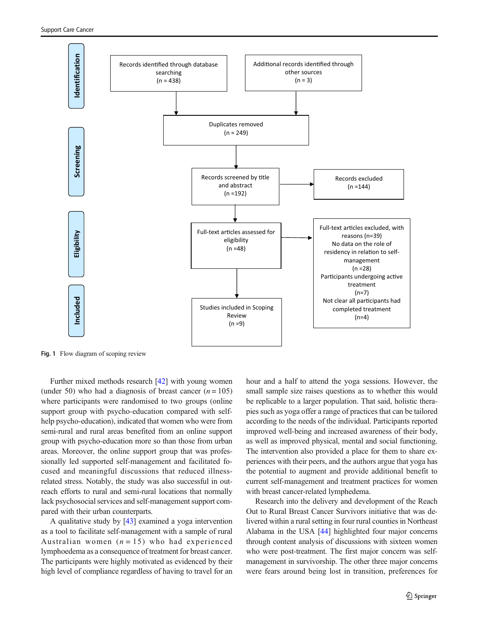<span id="page-4-0"></span>

Fig. 1 Flow diagram of scoping review

Further mixed methods research [\[42\]](#page-10-0) with young women (under 50) who had a diagnosis of breast cancer  $(n = 105)$ where participants were randomised to two groups (online support group with psycho-education compared with selfhelp psycho-education), indicated that women who were from semi-rural and rural areas benefited from an online support group with psycho-education more so than those from urban areas. Moreover, the online support group that was professionally led supported self-management and facilitated focused and meaningful discussions that reduced illnessrelated stress. Notably, the study was also successful in outreach efforts to rural and semi-rural locations that normally lack psychosocial services and self-management support compared with their urban counterparts.

A qualitative study by [\[43](#page-10-0)] examined a yoga intervention as a tool to facilitate self-management with a sample of rural Australian women  $(n = 15)$  who had experienced lymphoedema as a consequence of treatment for breast cancer. The participants were highly motivated as evidenced by their high level of compliance regardless of having to travel for an hour and a half to attend the yoga sessions. However, the small sample size raises questions as to whether this would be replicable to a larger population. That said, holistic therapies such as yoga offer a range of practices that can be tailored according to the needs of the individual. Participants reported improved well-being and increased awareness of their body, as well as improved physical, mental and social functioning. The intervention also provided a place for them to share experiences with their peers, and the authors argue that yoga has the potential to augment and provide additional benefit to current self-management and treatment practices for women with breast cancer-related lymphedema.

Research into the delivery and development of the Reach Out to Rural Breast Cancer Survivors initiative that was delivered within a rural setting in four rural counties in Northeast Alabama in the USA [\[44](#page-10-0)] highlighted four major concerns through content analysis of discussions with sixteen women who were post-treatment. The first major concern was selfmanagement in survivorship. The other three major concerns were fears around being lost in transition, preferences for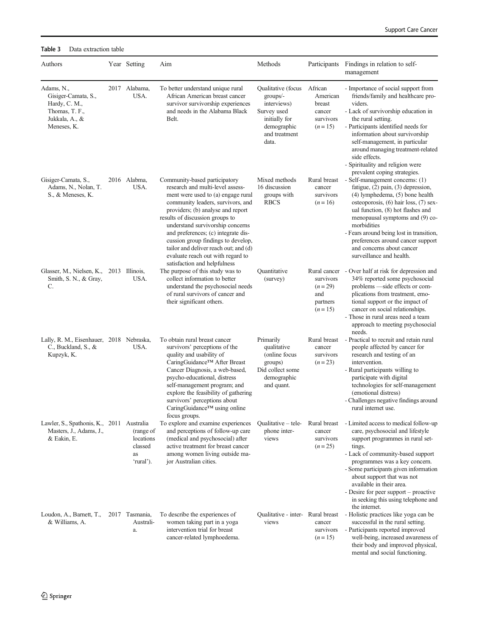mental and social functioning.

| Authors                                                                                               | Year Setting                                         | Aim                                                                                                                                                                                                                                                                                                                                                                                                                                                 | Methods                                                                                                                        |                                                                      | Participants Findings in relation to self-<br>management                                                                                                                                                                                                                                                                                                                                                           |
|-------------------------------------------------------------------------------------------------------|------------------------------------------------------|-----------------------------------------------------------------------------------------------------------------------------------------------------------------------------------------------------------------------------------------------------------------------------------------------------------------------------------------------------------------------------------------------------------------------------------------------------|--------------------------------------------------------------------------------------------------------------------------------|----------------------------------------------------------------------|--------------------------------------------------------------------------------------------------------------------------------------------------------------------------------------------------------------------------------------------------------------------------------------------------------------------------------------------------------------------------------------------------------------------|
| Adams, N.,<br>Gisiger-Camata, S.,<br>Hardy, C. M.,<br>Thomas, T. F.,<br>Jukkala, A., &<br>Meneses, K. | 2017 Alabama,<br>USA.                                | To better understand unique rural<br>African American breast cancer<br>survivor survivorship experiences<br>and needs in the Alabama Black<br>Belt.                                                                                                                                                                                                                                                                                                 | Qualitative (focus African<br>groups/-<br>interviews)<br>Survey used<br>initially for<br>demographic<br>and treatment<br>data. | American<br>breast<br>cancer<br>survivors<br>$(n=15)$                | - Importance of social support from<br>friends/family and healthcare pro-<br>viders.<br>- Lack of survivorship education in<br>the rural setting.<br>- Participants identified needs for<br>information about survivorship<br>self-management, in particular<br>around managing treatment-related<br>side effects.<br>- Spirituality and religion were                                                             |
| Gisiger-Camata, S.,<br>Adams, N., Nolan, T.<br>S., & Meneses, K.                                      | 2016 Alabma,<br>USA.                                 | Community-based participatory<br>research and multi-level assess-<br>ment were used to (a) engage rural<br>community leaders, survivors, and<br>providers; (b) analyse and report<br>results of discussion groups to<br>understand survivorship concerns<br>and preferences; (c) integrate dis-<br>cussion group findings to develop,<br>tailor and deliver reach out; and (d)<br>evaluate reach out with regard to<br>satisfaction and helpfulness | Mixed methods<br>16 discussion<br>groups with<br><b>RBCS</b>                                                                   | Rural breast<br>cancer<br>survivors<br>$(n=16)$                      | prevalent coping strategies.<br>- Self-management concerns: (1)<br>fatigue, (2) pain, (3) depression,<br>(4) lymphedema, (5) bone health<br>osteoporosis, (6) hair loss, (7) sex-<br>ual function, (8) hot flashes and<br>menopausal symptoms and (9) co-<br>morbidities<br>- Fears around being lost in transition,<br>preferences around cancer support<br>and concerns about cancer<br>surveillance and health. |
| Glasser, M., Nielsen, K.,<br>Smith, S. N., & Gray,<br>C.                                              | 2013 Illinois.<br>USA.                               | The purpose of this study was to<br>collect information to better<br>understand the psychosocial needs<br>of rural survivors of cancer and<br>their significant others.                                                                                                                                                                                                                                                                             | Ouantitative<br>(survey)                                                                                                       | Rural cancer<br>survivors<br>$(n=29)$<br>and<br>partners<br>$(n=15)$ | - Over half at risk for depression and<br>34% reported some psychosocial<br>problems -side effects or com-<br>plications from treatment, emo-<br>tional support or the impact of<br>cancer on social relationships.<br>- Those in rural areas need a team<br>approach to meeting psychosocial<br>needs.                                                                                                            |
| Lally, R. M., Eisenhauer, 2018 Nebraska,<br>C., Buckland, S., &<br>Kupzyk, K.                         | USA.                                                 | To obtain rural breast cancer<br>survivors' perceptions of the<br>quality and usability of<br>CaringGuidance™ After Breast<br>Cancer Diagnosis, a web-based,<br>psycho-educational, distress<br>self-management program; and<br>explore the feasibility of gathering<br>survivors' perceptions about<br>CaringGuidance™ using online                                                                                                                | Primarily<br>qualitative<br>(online focus<br>groups)<br>Did collect some<br>demographic<br>and quant.                          | Rural breast<br>cancer<br>survivors<br>$(n=23)$                      | - Practical to recruit and retain rural<br>people affected by cancer for<br>research and testing of an<br>intervention.<br>- Rural participants willing to<br>participate with digital<br>technologies for self-management<br>(emotional distress)<br>- Challenges negative findings around<br>rural internet use.                                                                                                 |
| Lawler, S., Spathonis, K., 2011 Australia<br>Masters, J., Adams, J.,<br>& Eakin, E.                   | (range of<br>locations<br>classed<br>as<br>'rural'). | tocus groups.<br>To explore and examine experiences<br>and perceptions of follow-up care<br>(medical and psychosocial) after<br>active treatment for breast cancer<br>among women living outside ma-<br>jor Australian cities.                                                                                                                                                                                                                      | Qualitative – tele-<br>phone inter-<br>views                                                                                   | Rural breast<br>cancer<br>survivors<br>$(n=25)$                      | - Limited access to medical follow-up<br>care, psychosocial and lifestyle<br>support programmes in rural set-<br>tings.<br>- Lack of community-based support<br>programmes was a key concern.<br>- Some participants given information<br>about support that was not<br>available in their area.<br>- Desire for peer support – proactive<br>in seeking this using telephone and<br>the internet.                  |
| Loudon, A., Barnett, T.,<br>& Williams, A.                                                            | 2017 Tasmania.<br>Australi-<br>a.                    | To describe the experiences of<br>women taking part in a yoga<br>intervention trial for breast<br>cancer-related lymphoedema.                                                                                                                                                                                                                                                                                                                       | Qualitative - inter- Rural breast<br>views                                                                                     | cancer<br>survivors<br>$(n=15)$                                      | - Holistic practices like yoga can be<br>successful in the rural setting.<br>- Participants reported improved<br>well-being, increased awareness of<br>their body and improved physical,                                                                                                                                                                                                                           |

# <span id="page-5-0"></span>Table 3 Data extraction table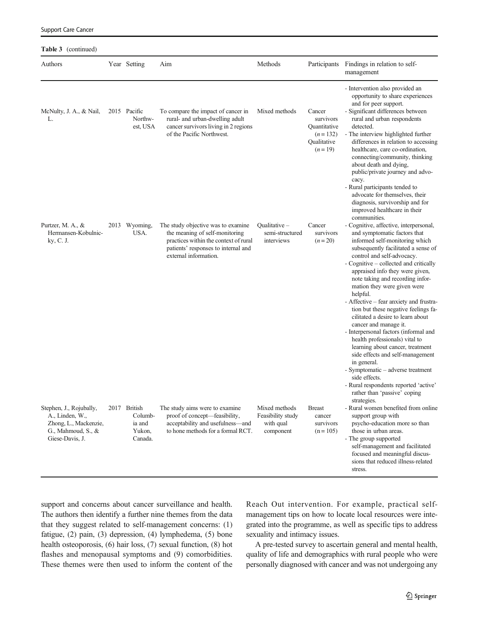| <b>Table 3</b> (continued)                                                        |  |                                        |                                                                                                                                                                                |                                                |                                                                             |                                                                                                                                                                                                                                                                                                                                                                                                                                                                                                                                                      |
|-----------------------------------------------------------------------------------|--|----------------------------------------|--------------------------------------------------------------------------------------------------------------------------------------------------------------------------------|------------------------------------------------|-----------------------------------------------------------------------------|------------------------------------------------------------------------------------------------------------------------------------------------------------------------------------------------------------------------------------------------------------------------------------------------------------------------------------------------------------------------------------------------------------------------------------------------------------------------------------------------------------------------------------------------------|
| Authors                                                                           |  | Year Setting                           | Aim                                                                                                                                                                            | Methods                                        | Participants                                                                | Findings in relation to self-<br>management                                                                                                                                                                                                                                                                                                                                                                                                                                                                                                          |
| McNulty, J. A., & Nail,<br>L.                                                     |  | 2015 Pacific<br>Northw-<br>est, USA    | To compare the impact of cancer in<br>rural- and urban-dwelling adult<br>cancer survivors living in 2 regions<br>of the Pacific Northwest.                                     | Mixed methods                                  | Cancer<br>survivors<br>Quantitative<br>$(n=132)$<br>Qualitative<br>$(n=19)$ | - Intervention also provided an<br>opportunity to share experiences<br>and for peer support.<br>- Significant differences between<br>rural and urban respondents<br>detected.<br>- The interview highlighted further<br>differences in relation to accessing<br>healthcare, care co-ordination,<br>connecting/community, thinking<br>about death and dying,<br>public/private journey and advo-                                                                                                                                                      |
| Purtzer, M. A., &<br>Hermansen-Kobulnic-<br>ky, C. J.                             |  | 2013 Wyoming,<br>USA.                  | The study objective was to examine.<br>the meaning of self-monitoring<br>practices within the context of rural<br>patients' responses to internal and<br>external information. | Qualitative –<br>semi-structured<br>interviews | Cancer<br>survivors<br>$(n=20)$                                             | cacy.<br>- Rural participants tended to<br>advocate for themselves, their<br>diagnosis, survivorship and for<br>improved healthcare in their<br>communities.<br>- Cognitive, affective, interpersonal,<br>and symptomatic factors that<br>informed self-monitoring which<br>subsequently facilitated a sense of<br>control and self-advocacy.<br>- Cognitive – collected and critically<br>appraised info they were given,<br>note taking and recording infor-<br>mation they were given were<br>helpful.<br>- Affective – fear anxiety and frustra- |
| Stephen, J., Rojubally,                                                           |  | 2017 British                           | The study aims were to examine                                                                                                                                                 | Mixed methods                                  | <b>Breast</b>                                                               | tion but these negative feelings fa-<br>cilitated a desire to learn about<br>cancer and manage it.<br>- Interpersonal factors (informal and<br>health professionals) vital to<br>learning about cancer, treatment<br>side effects and self-management<br>in general.<br>- Symptomatic – adverse treatment<br>side effects.<br>- Rural respondents reported 'active'<br>rather than 'passive' coping<br>strategies.<br>- Rural women benefited from online                                                                                            |
| A., Linden, W.,<br>Zhong, L., Mackenzie,<br>G., Mahmoud, S., &<br>Giese-Davis, J. |  | Columb-<br>ia and<br>Yukon,<br>Canada. | proof of concept—feasibility,<br>acceptability and usefulness-and<br>to hone methods for a formal RCT.                                                                         | Feasibility study<br>with qual<br>component    | cancer<br>survivors<br>$(n = 105)$                                          | support group with<br>psycho-education more so than<br>those in urban areas.<br>- The group supported<br>self-management and facilitated<br>focused and meaningful discus-<br>sions that reduced illness-related<br>stress.                                                                                                                                                                                                                                                                                                                          |

support and concerns about cancer surveillance and health. The authors then identify a further nine themes from the data that they suggest related to self-management concerns: (1) fatigue, (2) pain, (3) depression, (4) lymphedema, (5) bone health osteoporosis, (6) hair loss, (7) sexual function, (8) hot flashes and menopausal symptoms and (9) comorbidities. These themes were then used to inform the content of the

Support Care Cancer

Reach Out intervention. For example, practical selfmanagement tips on how to locate local resources were integrated into the programme, as well as specific tips to address sexuality and intimacy issues.

A pre-tested survey to ascertain general and mental health, quality of life and demographics with rural people who were personally diagnosed with cancer and was not undergoing any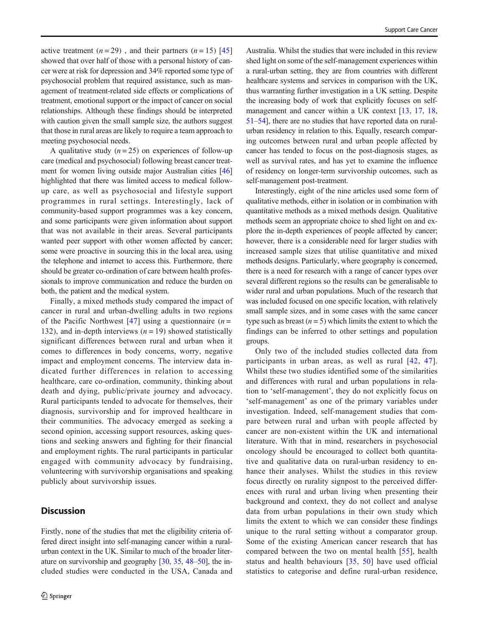active treatment  $(n=29)$ , and their partners  $(n=15)$  [[45\]](#page-10-0) showed that over half of those with a personal history of cancer were at risk for depression and 34% reported some type of psychosocial problem that required assistance, such as management of treatment-related side effects or complications of treatment, emotional support or the impact of cancer on social relationships. Although these findings should be interpreted with caution given the small sample size, the authors suggest that those in rural areas are likely to require a team approach to meeting psychosocial needs.

A qualitative study  $(n = 25)$  on experiences of follow-up care (medical and psychosocial) following breast cancer treatment for women living outside major Australian cities [\[46\]](#page-10-0) highlighted that there was limited access to medical followup care, as well as psychosocial and lifestyle support programmes in rural settings. Interestingly, lack of community-based support programmes was a key concern, and some participants were given information about support that was not available in their areas. Several participants wanted peer support with other women affected by cancer; some were proactive in sourcing this in the local area, using the telephone and internet to access this. Furthermore, there should be greater co-ordination of care between health professionals to improve communication and reduce the burden on both, the patient and the medical system.

Finally, a mixed methods study compared the impact of cancer in rural and urban-dwelling adults in two regions of the Pacific Northwest [[47](#page-10-0)] using a questionnaire ( $n =$ 132), and in-depth interviews  $(n = 19)$  showed statistically significant differences between rural and urban when it comes to differences in body concerns, worry, negative impact and employment concerns. The interview data indicated further differences in relation to accessing healthcare, care co-ordination, community, thinking about death and dying, public/private journey and advocacy. Rural participants tended to advocate for themselves, their diagnosis, survivorship and for improved healthcare in their communities. The advocacy emerged as seeking a second opinion, accessing support resources, asking questions and seeking answers and fighting for their financial and employment rights. The rural participants in particular engaged with community advocacy by fundraising, volunteering with survivorship organisations and speaking publicly about survivorship issues.

# **Discussion**

Firstly, none of the studies that met the eligibility criteria offered direct insight into self-managing cancer within a ruralurban context in the UK. Similar to much of the broader literature on survivorship and geography [[30,](#page-10-0) [35,](#page-10-0) [48](#page-10-0)–[50](#page-10-0)], the included studies were conducted in the USA, Canada and

Australia. Whilst the studies that were included in this review shed light on some of the self-management experiences within a rural-urban setting, they are from countries with different healthcare systems and services in comparison with the UK, thus warranting further investigation in a UK setting. Despite the increasing body of work that explicitly focuses on self-management and cancer within a UK context [\[13](#page-9-0), [17](#page-9-0), [18,](#page-9-0) [51](#page-10-0)–[54\]](#page-11-0), there are no studies that have reported data on ruralurban residency in relation to this. Equally, research comparing outcomes between rural and urban people affected by cancer has tended to focus on the post-diagnosis stages, as well as survival rates, and has yet to examine the influence of residency on longer-term survivorship outcomes, such as self-management post-treatment.

Interestingly, eight of the nine articles used some form of qualitative methods, either in isolation or in combination with quantitative methods as a mixed methods design. Qualitative methods seem an appropriate choice to shed light on and explore the in-depth experiences of people affected by cancer; however, there is a considerable need for larger studies with increased sample sizes that utilise quantitative and mixed methods designs. Particularly, where geography is concerned, there is a need for research with a range of cancer types over several different regions so the results can be generalisable to wider rural and urban populations. Much of the research that was included focused on one specific location, with relatively small sample sizes, and in some cases with the same cancer type such as breast  $(n = 5)$  which limits the extent to which the findings can be inferred to other settings and population groups.

Only two of the included studies collected data from participants in urban areas, as well as rural [[42](#page-10-0), [47](#page-10-0)]. Whilst these two studies identified some of the similarities and differences with rural and urban populations in relation to 'self-management', they do not explicitly focus on 'self-management' as one of the primary variables under investigation. Indeed, self-management studies that compare between rural and urban with people affected by cancer are non-existent within the UK and international literature. With that in mind, researchers in psychosocial oncology should be encouraged to collect both quantitative and qualitative data on rural-urban residency to enhance their analyses. Whilst the studies in this review focus directly on rurality signpost to the perceived differences with rural and urban living when presenting their background and context, they do not collect and analyse data from urban populations in their own study which limits the extent to which we can consider these findings unique to the rural setting without a comparator group. Some of the existing American cancer research that has compared between the two on mental health [[55\]](#page-11-0), health status and health behaviours [[35](#page-10-0), [50](#page-10-0)] have used official statistics to categorise and define rural-urban residence,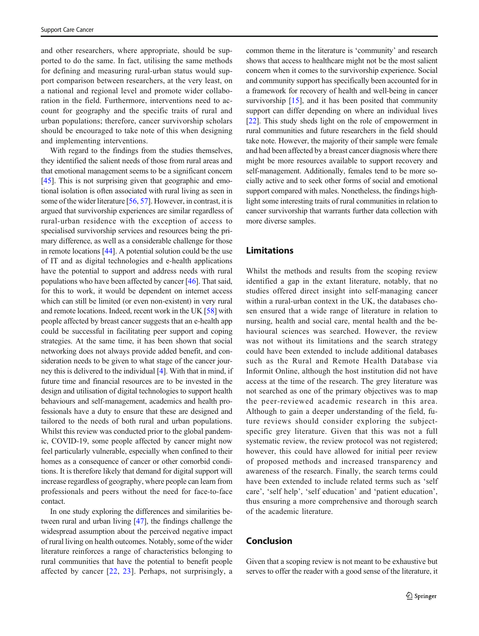and other researchers, where appropriate, should be supported to do the same. In fact, utilising the same methods for defining and measuring rural-urban status would support comparison between researchers, at the very least, on a national and regional level and promote wider collaboration in the field. Furthermore, interventions need to account for geography and the specific traits of rural and urban populations; therefore, cancer survivorship scholars should be encouraged to take note of this when designing and implementing interventions.

With regard to the findings from the studies themselves, they identified the salient needs of those from rural areas and that emotional management seems to be a significant concern [\[45\]](#page-10-0). This is not surprising given that geographic and emotional isolation is often associated with rural living as seen in some of the wider literature [\[56](#page-11-0), [57](#page-11-0)]. However, in contrast, it is argued that survivorship experiences are similar regardless of rural-urban residence with the exception of access to specialised survivorship services and resources being the primary difference, as well as a considerable challenge for those in remote locations [\[44\]](#page-10-0). A potential solution could be the use of IT and as digital technologies and e-health applications have the potential to support and address needs with rural populations who have been affected by cancer [[46\]](#page-10-0). That said, for this to work, it would be dependent on internet access which can still be limited (or even non-existent) in very rural and remote locations. Indeed, recent work in the UK [[58\]](#page-11-0) with people affected by breast cancer suggests that an e-health app could be successful in facilitating peer support and coping strategies. At the same time, it has been shown that social networking does not always provide added benefit, and consideration needs to be given to what stage of the cancer journey this is delivered to the individual [\[4](#page-9-0)]. With that in mind, if future time and financial resources are to be invested in the design and utilisation of digital technologies to support health behaviours and self-management, academics and health professionals have a duty to ensure that these are designed and tailored to the needs of both rural and urban populations. Whilst this review was conducted prior to the global pandemic, COVID-19, some people affected by cancer might now feel particularly vulnerable, especially when confined to their homes as a consequence of cancer or other comorbid conditions. It is therefore likely that demand for digital support will increase regardless of geography, where people can learn from professionals and peers without the need for face-to-face contact.

In one study exploring the differences and similarities between rural and urban living [\[47](#page-10-0)], the findings challenge the widespread assumption about the perceived negative impact of rural living on health outcomes. Notably, some of the wider literature reinforces a range of characteristics belonging to rural communities that have the potential to benefit people affected by cancer  $[22, 23]$  $[22, 23]$  $[22, 23]$  $[22, 23]$  $[22, 23]$ . Perhaps, not surprisingly, a common theme in the literature is 'community' and research shows that access to healthcare might not be the most salient concern when it comes to the survivorship experience. Social and community support has specifically been accounted for in a framework for recovery of health and well-being in cancer survivorship [\[15](#page-9-0)], and it has been posited that community support can differ depending on where an individual lives [\[22](#page-10-0)]. This study sheds light on the role of empowerment in rural communities and future researchers in the field should take note. However, the majority of their sample were female and had been affected by a breast cancer diagnosis where there might be more resources available to support recovery and self-management. Additionally, females tend to be more socially active and to seek other forms of social and emotional support compared with males. Nonetheless, the findings highlight some interesting traits of rural communities in relation to cancer survivorship that warrants further data collection with more diverse samples.

# Limitations

Whilst the methods and results from the scoping review identified a gap in the extant literature, notably, that no studies offered direct insight into self-managing cancer within a rural-urban context in the UK, the databases chosen ensured that a wide range of literature in relation to nursing, health and social care, mental health and the behavioural sciences was searched. However, the review was not without its limitations and the search strategy could have been extended to include additional databases such as the Rural and Remote Health Database via Informit Online, although the host institution did not have access at the time of the research. The grey literature was not searched as one of the primary objectives was to map the peer-reviewed academic research in this area. Although to gain a deeper understanding of the field, future reviews should consider exploring the subjectspecific grey literature. Given that this was not a full systematic review, the review protocol was not registered; however, this could have allowed for initial peer review of proposed methods and increased transparency and awareness of the research. Finally, the search terms could have been extended to include related terms such as 'self care', 'self help', 'self education' and 'patient education', thus ensuring a more comprehensive and thorough search of the academic literature.

## Conclusion

Given that a scoping review is not meant to be exhaustive but serves to offer the reader with a good sense of the literature, it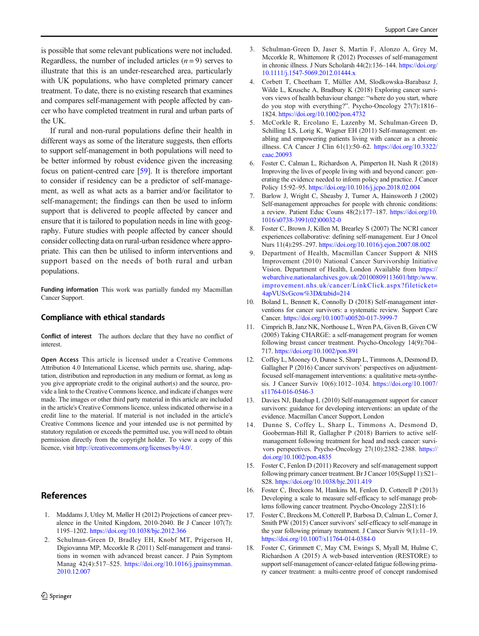<span id="page-9-0"></span>is possible that some relevant publications were not included. Regardless, the number of included articles  $(n = 9)$  serves to illustrate that this is an under-researched area, particularly with UK populations, who have completed primary cancer treatment. To date, there is no existing research that examines and compares self-management with people affected by cancer who have completed treatment in rural and urban parts of the UK.

If rural and non-rural populations define their health in different ways as some of the literature suggests, then efforts to support self-management in both populations will need to be better informed by robust evidence given the increasing focus on patient-centred care [\[59\]](#page-11-0). It is therefore important to consider if residency can be a predictor of self-management, as well as what acts as a barrier and/or facilitator to self-management; the findings can then be used to inform support that is delivered to people affected by cancer and ensure that it is tailored to population needs in line with geography. Future studies with people affected by cancer should consider collecting data on rural-urban residence where appropriate. This can then be utilised to inform interventions and support based on the needs of both rural and urban populations.

Funding information This work was partially funded my Macmillan Cancer Support.

## Compliance with ethical standards

Conflict of interest The authors declare that they have no conflict of interest.

Open Access This article is licensed under a Creative Commons Attribution 4.0 International License, which permits use, sharing, adaptation, distribution and reproduction in any medium or format, as long as you give appropriate credit to the original author(s) and the source, provide a link to the Creative Commons licence, and indicate if changes were made. The images or other third party material in this article are included in the article's Creative Commons licence, unless indicated otherwise in a credit line to the material. If material is not included in the article's Creative Commons licence and your intended use is not permitted by statutory regulation or exceeds the permitted use, you will need to obtain permission directly from the copyright holder. To view a copy of this licence, visit [http://creativecommons.org/licenses/by/4.0/](https://doi.org/).

# **References**

- 1. Maddams J, Utley M, Møller H (2012) Projections of cancer prevalence in the United Kingdom, 2010-2040. Br J Cancer 107(7): 1195–1202. <https://doi.org/10.1038/bjc.2012.366>
- 2. Schulman-Green D, Bradley EH, Knobf MT, Prigerson H, Digiovanna MP, Mccorkle R (2011) Self-management and transitions in women with advanced breast cancer. J Pain Symptom Manag 42(4):517–525. [https://doi.org/10.1016/j.jpainsymman.](https://doi.org/10.1016/j.jpainsymman.2010.12.007) [2010.12.007](https://doi.org/10.1016/j.jpainsymman.2010.12.007)
- 3. Schulman-Green D, Jaser S, Martin F, Alonzo A, Grey M, Mccorkle R, Whittemore R (2012) Processes of self-management in chronic illness. J Nurs Scholarsh 44(2):136–144. [https://doi.org/](https://doi.org/10.1111/j.1547-5069.2012.01444.x) [10.1111/j.1547-5069.2012.01444.x](https://doi.org/10.1111/j.1547-5069.2012.01444.x)
- 4. Corbett T, Cheetham T, Müller AM, Slodkowska-Barabasz J, Wilde L, Krusche A, Bradbury K (2018) Exploring cancer survivors views of health behaviour change: "where do you start, where do you stop with everything?". Psycho-Oncology 27(7):1816– 1824. <https://doi.org/10.1002/pon.4732>
- 5. McCorkle R, Ercolano E, Lazenby M, Schulman-Green D, Schilling LS, Lorig K, Wagner EH (2011) Self-management: enabling and empowering patients living with cancer as a chronic illness. CA Cancer J Clin 61(1):50–62. [https://doi.org/10.3322/](https://doi.org/10.3322/caac.20093) [caac.20093](https://doi.org/10.3322/caac.20093)
- 6. Foster C, Calman L, Richardson A, Pimperton H, Nash R (2018) Improving the lives of people living with and beyond cancer: generating the evidence needed to inform policy and practice. J Cancer Policy 15:92–95. <https://doi.org/10.1016/j.jcpo.2018.02.004>
- 7. Barlow J, Wright C, Sheasby J, Turner A, Hainsworth J (2002) Self-management approaches for people with chronic conditions: a review. Patient Educ Couns 48(2):177–187. [https://doi.org/10.](https://doi.org/10.1016/s0738-3991(02)00032-0) [1016/s0738-3991\(02\)00032-0](https://doi.org/10.1016/s0738-3991(02)00032-0)
- 8. Foster C, Brown J, Killen M, Brearley S (2007) The NCRI cancer experiences collaborative: defining self-management. Eur J Oncol Nurs 11(4):295–297. <https://doi.org/10.1016/j.ejon.2007.08.002>
- 9. Department of Health, Macmillan Cancer Support & NHS Improvement (2010) National Cancer Survivorship Initiative Vision. Department of Health, London Available from [https://](#page-4-0) [webarchive.nationalarchives.gov.uk/20100809113601/http:/www.](#page-4-0) [improvement.nhs.uk/cancer/LinkClick.aspx?fileticket=](#page-4-0) [4apVUSvGcow%3D&tabid=214](#page-4-0)
- 10. Boland L, Bennett K, Connolly D (2018) Self-management interventions for cancer survivors: a systematic review. Support Care Cancer. <https://doi.org/10.1007/s00520-017-3999-7>
- 11. Cimprich B, Janz NK, Northouse L, Wren PA, Given B, Given CW (2005) Taking CHARGE: a self-management program for women following breast cancer treatment. Psycho-Oncology 14(9):704– 717. <https://doi.org/10.1002/pon.891>
- 12. Coffey L, Mooney O, Dunne S, Sharp L, Timmons A, Desmond D, Gallagher P (2016) Cancer survivors' perspectives on adjustmentfocused self-management interventions: a qualitative meta-synthesis. J Cancer Surviv 10(6):1012–1034. [https://doi.org/10.1007/](https://doi.org/10.1007/s11764-016-0546-3) [s11764-016-0546-3](https://doi.org/10.1007/s11764-016-0546-3)
- 13. Davies NJ, Batehup L (2010) Self-management support for cancer survivors: guidance for developing interventions: an update of the evidence. Macmillan Cancer Support, London
- 14. Dunne S, Coffey L, Sharp L, Timmons A, Desmond D, Gooberman-Hill R, Gallagher P (2018) Barriers to active selfmanagement following treatment for head and neck cancer: survivors perspectives. Psycho-Oncology 27(10):2382–2388. [https://](https://doi.org/10.1002/pon.4835) [doi.org/10.1002/pon.4835](https://doi.org/10.1002/pon.4835)
- 15. Foster C, Fenlon D (2011) Recovery and self-management support following primary cancer treatment. Br J Cancer 105(Suppl 1):S21– S28. <https://doi.org/10.1038/bjc.2011.419>
- 16. Foster C, Breckons M, Hankins M, Fenlon D, Cotterell P (2013) Developing a scale to measure self-efficacy to self-manage problems following cancer treatment. Psycho-Oncology 22(S1):16
- 17. Foster C, Breckons M, Cotterell P, Barbosa D, Calman L, Corner J, Smith PW (2015) Cancer survivors' self-efficacy to self-manage in the year following primary treatment. J Cancer Surviv 9(1):11–19. <https://doi.org/10.1007/s11764-014-0384-0>
- 18. Foster C, Grimmett C, May CM, Ewings S, Myall M, Hulme C, Richardson A (2015) A web-based intervention (RESTORE) to support self-management of cancer-related fatigue following primary cancer treatment: a multi-centre proof of concept randomised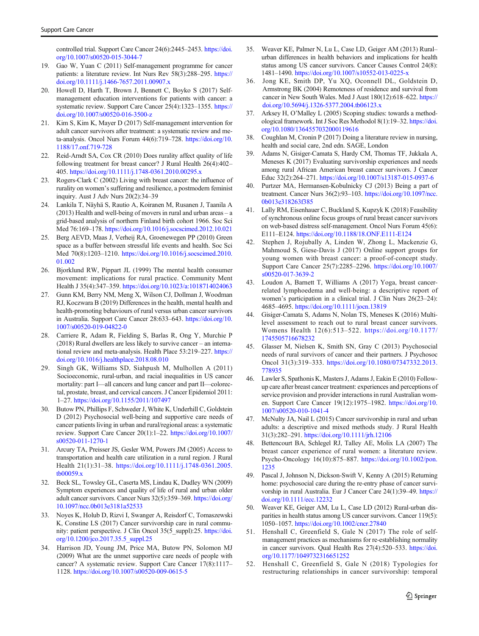<span id="page-10-0"></span>controlled trial. Support Care Cancer 24(6):2445–2453. [https://doi.](https://doi.org/10.1007/s00520-015-3044-7) [org/10.1007/s00520-015-3044-7](https://doi.org/10.1007/s00520-015-3044-7)

- 19. Gao W, Yuan C (2011) Self-management programme for cancer patients: a literature review. Int Nurs Rev 58(3):288–295. [https://](https://doi.org/10.1111/j.1466-7657.2011.00907.x) [doi.org/10.1111/j.1466-7657.2011.00907.x](https://doi.org/10.1111/j.1466-7657.2011.00907.x)
- 20. Howell D, Harth T, Brown J, Bennett C, Boyko S (2017) Selfmanagement education interventions for patients with cancer: a systematic review. Support Care Cancer 25(4):1323–1355. [https://](https://doi.org/10.1007/s00520-016-3500-z) [doi.org/10.1007/s00520-016-3500-z](https://doi.org/10.1007/s00520-016-3500-z)
- 21. Kim S, Kim K, Mayer D (2017) Self-management intervention for adult cancer survivors after treatment: a systematic review and meta-analysis. Oncol Nurs Forum 44(6):719–728. [https://doi.org/10.](https://doi.org/10.1188/17.onf.719-728) [1188/17.onf.719-728](https://doi.org/10.1188/17.onf.719-728)
- 22. Reid-Arndt SA, Cox CR (2010) Does rurality affect quality of life following treatment for breast cancer? J Rural Health 26(4):402– 405. <https://doi.org/10.1111/j.1748-0361.2010.00295.x>
- 23. Rogers-Clark C (2002) Living with breast cancer: the influence of rurality on women's suffering and resilience, a postmodern feminist inquiry. Aust J Adv Nurs 20(2):34–39
- 24. Lankila T, Näyhä S, Rautio A, Koiranen M, Rusanen J, Taanila A (2013) Health and well-being of movers in rural and urban areas – a grid-based analysis of northern Finland birth cohort 1966. Soc Sci Med 76:169–178. <https://doi.org/10.1016/j.socscimed.2012.10.021>
- 25. Berg AEVD, Maas J, Verheij RA, Groenewegen PP (2010) Green space as a buffer between stressful life events and health. Soc Sci Med 70(8):1203–1210. [https://doi.org/10.1016/j.socscimed.2010.](https://doi.org/10.1016/j.socscimed.2010.01.002) [01.002](https://doi.org/10.1016/j.socscimed.2010.01.002)
- 26. Bjorklund RW, Pippart JL (1999) The mental health consumer movement: implications for rural practice. Community Ment Health J 35(4):347–359. <https://doi.org/10.1023/a:1018714024063>
- 27. Gunn KM, Berry NM, Meng X, Wilson CJ, Dollman J, Woodman RJ, Koczwara B (2019) Differences in the health, mental health and health-promoting behaviours of rural versus urban cancer survivors in Australia. Support Care Cancer 28:633–643. [https://doi.org/10.](https://doi.org/10.1007/s00520-019-04822-0) [1007/s00520-019-04822-0](https://doi.org/10.1007/s00520-019-04822-0)
- 28. Carriere R, Adam R, Fielding S, Barlas R, Ong Y, Murchie P (2018) Rural dwellers are less likely to survive cancer – an international review and meta-analysis. Health Place 53:219–227. [https://](https://doi.org/10.1016/j.healthplace.2018.08.010) [doi.org/10.1016/j.healthplace.2018.08.010](https://doi.org/10.1016/j.healthplace.2018.08.010)
- 29. Singh GK, Williams SD, Siahpush M, Mulhollen A (2011) Socioeconomic, rural-urban, and racial inequalities in US cancer mortality: part I—all cancers and lung cancer and part II—colorectal, prostate, breast, and cervical cancers. J Cancer Epidemiol 2011: 1–27. <https://doi.org/10.1155/2011/107497>
- 30. Butow PN, Phillips F, Schweder J, White K, Underhill C, Goldstein D (2012) Psychosocial well-being and supportive care needs of cancer patients living in urban and rural/regional areas: a systematic review. Support Care Cancer 20(1):1–22. [https://doi.org/10.1007/](https://doi.org/10.1007/s00520-011-1270-1) [s00520-011-1270-1](https://doi.org/10.1007/s00520-011-1270-1)
- 31. Arcury TA, Preisser JS, Gesler WM, Powers JM (2005) Access to transportation and health care utilization in a rural region. J Rural Health 21(1):31–38. [https://doi.org/10.1111/j.1748-0361.2005.](https://doi.org/10.1111/j.1748-0361.2005.tb00059.x) [tb00059.x](https://doi.org/10.1111/j.1748-0361.2005.tb00059.x)
- 32. Beck SL, Towsley GL, Caserta MS, Lindau K, Dudley WN (2009) Symptom experiences and quality of life of rural and urban older adult cancer survivors. Cancer Nurs 32(5):359–369. [https://doi.org/](https://doi.org/10.1097/ncc.0b013e3181a52533) [10.1097/ncc.0b013e3181a52533](https://doi.org/10.1097/ncc.0b013e3181a52533)
- 33. Noyes K, Holub D, Rizvi I, Swanger A, Reisdorf C, Tomaszewski K, Constine LS (2017) Cancer survivorship care in rural community: patient perspective. J Clin Oncol 35(5\_suppl):25. [https://doi.](https://doi.org/10.1200/jco.2017.35.5_suppl.25) [org/10.1200/jco.2017.35.5\\_suppl.25](https://doi.org/10.1200/jco.2017.35.5_suppl.25)
- 34. Harrison JD, Young JM, Price MA, Butow PN, Solomon MJ (2009) What are the unmet supportive care needs of people with cancer? A systematic review. Support Care Cancer 17(8):1117– 1128. <https://doi.org/10.1007/s00520-009-0615-5>
- 35. Weaver KE, Palmer N, Lu L, Case LD, Geiger AM (2013) Rural– urban differences in health behaviors and implications for health status among US cancer survivors. Cancer Causes Control 24(8): 1481–1490. <https://doi.org/10.1007/s10552-013-0225-x>
- 36. Jong KE, Smith DP, Yu XQ, Oconnell DL, Goldstein D, Armstrong BK (2004) Remoteness of residence and survival from cancer in New South Wales. Med J Aust 180(12):618–622. [https://](https://doi.org/10.5694/j.1326-5377.2004.tb06123.x) [doi.org/10.5694/j.1326-5377.2004.tb06123.x](https://doi.org/10.5694/j.1326-5377.2004.tb06123.x)
- 37. Arksey H, O'Malley L (2005) Scoping studies: towards a methodological framework. Int J Soc Res Methodol 8(1):19–32. [https://doi.](https://doi.org/10.1080/1364557032000119616) [org/10.1080/1364557032000119616](https://doi.org/10.1080/1364557032000119616)
- Coughlan M, Cronin P (2017) Doing a literature review in nursing. health and social care, 2nd edn. SAGE, London
- 39. Adams N, Gisiger-Camata S, Hardy CM, Thomas TF, Jukkala A, Meneses K (2017) Evaluating survivorship experiences and needs among rural African American breast cancer survivors. J Cancer Educ 32(2):264–271. <https://doi.org/10.1007/s13187-015-0937-6>
- 40. Purtzer MA, Hermansen-Kobulnicky CJ (2013) Being a part of treatment. Cancer Nurs 36(2):93–103. [https://doi.org/10.1097/ncc.](https://doi.org/10.1097/ncc.0b013e318263f385) [0b013e318263f385](https://doi.org/10.1097/ncc.0b013e318263f385)
- 41. Lally RM, Eisenhauer C, Buckland S, Kupzyk K (2018) Feasibility of synchronous online focus groups of rural breast cancer survivors on web-based distress self-management. Oncol Nurs Forum 45(6): E111–E124. <https://doi.org/10.1188/18.ONF.E111-E124>
- 42. Stephen J, Rojubally A, Linden W, Zhong L, Mackenzie G, Mahmoud S, Giese-Davis J (2017) Online support groups for young women with breast cancer: a proof-of-concept study. Support Care Cancer 25(7):2285–2296. [https://doi.org/10.1007/](https://doi.org/10.1007/s00520-017-3639-2) [s00520-017-3639-2](https://doi.org/10.1007/s00520-017-3639-2)
- 43. Loudon A, Barnett T, Williams A (2017) Yoga, breast cancerrelated lymphoedema and well-being: a descriptive report of women's participation in a clinical trial. J Clin Nurs 26(23–24): 4685–4695. <https://doi.org/10.1111/jocn.13819>
- 44. Gisiger-Camata S, Adams N, Nolan TS, Meneses K (2016) Multilevel assessment to reach out to rural breast cancer survivors. Womens Health 12(6):513–522. [https://doi.org/10.1177/](https://doi.org/10.1177/1745505716678232) [1745505716678232](https://doi.org/10.1177/1745505716678232)
- 45. Glasser M, Nielsen K, Smith SN, Gray C (2013) Psychosocial needs of rural survivors of cancer and their partners. J Psychosoc Oncol 31(3):319–333. [https://doi.org/10.1080/07347332.2013.](https://doi.org/10.1080/07347332.2013.778935) [778935](https://doi.org/10.1080/07347332.2013.778935)
- 46. Lawler S, Spathonis K, Masters J, Adams J, Eakin E (2010) Followup care after breast cancer treatment: experiences and perceptions of service provision and provider interactions in rural Australian women. Support Care Cancer 19(12):1975–1982. [https://doi.org/10.](https://doi.org/10.1007/s00520-010-1041-4) [1007/s00520-010-1041-4](https://doi.org/10.1007/s00520-010-1041-4)
- 47. McNulty JA, Nail L (2015) Cancer survivorship in rural and urban adults: a descriptive and mixed methods study. J Rural Health 31(3):282–291. <https://doi.org/10.1111/jrh.12106>
- 48. Bettencourt BA, Schlegel RJ, Talley AE, Molix LA (2007) The breast cancer experience of rural women: a literature review. Psycho-Oncology 16(10):875–887. [https://doi.org/10.1002/pon.](https://doi.org/10.1002/pon.1235) [1235](https://doi.org/10.1002/pon.1235)
- 49. Pascal J, Johnson N, Dickson-Swift V, Kenny A (2015) Returning home: psychosocial care during the re-entry phase of cancer survivorship in rural Australia. Eur J Cancer Care 24(1):39–49. [https://](https://doi.org/10.1111/ecc.12232) [doi.org/10.1111/ecc.12232](https://doi.org/10.1111/ecc.12232)
- 50. Weaver KE, Geiger AM, Lu L, Case LD (2012) Rural-urban disparities in health status among US cancer survivors. Cancer 119(5): 1050–1057. <https://doi.org/10.1002/cncr.27840>
- 51. Henshall C, Greenfield S, Gale N (2017) The role of selfmanagement practices as mechanisms for re-establishing normality in cancer survivors. Qual Health Res 27(4):520–533. [https://doi.](https://doi.org/10.1177/1049732316651252) [org/10.1177/1049732316651252](https://doi.org/10.1177/1049732316651252)
- 52. Henshall C, Greenfield S, Gale N (2018) Typologies for restructuring relationships in cancer survivorship: temporal